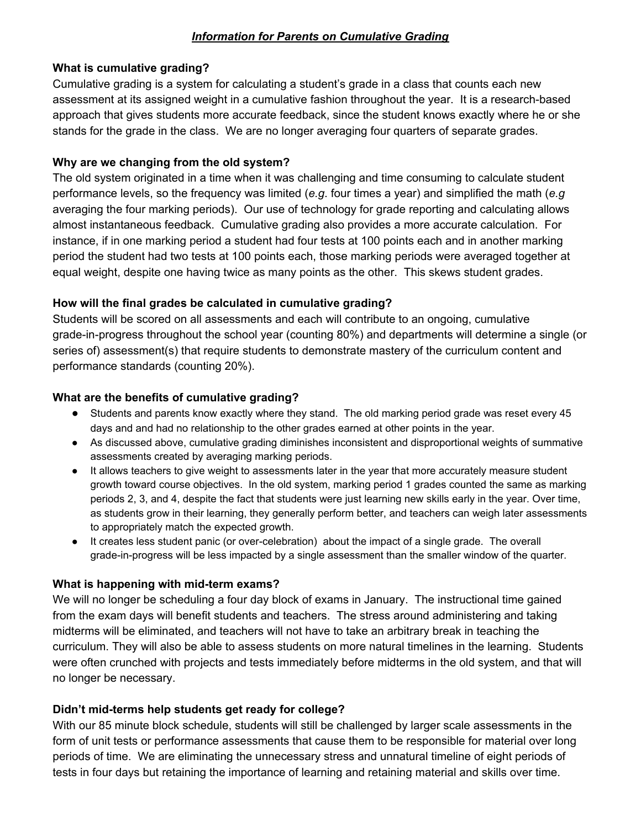# *Information for Parents on Cumulative Grading*

## **What is cumulative grading?**

Cumulative grading is a system for calculating a student's grade in a class that counts each new assessment at its assigned weight in a cumulative fashion throughout the year. It is a research-based approach that gives students more accurate feedback, since the student knows exactly where he or she stands for the grade in the class. We are no longer averaging four quarters of separate grades.

## **Why are we changing from the old system?**

The old system originated in a time when it was challenging and time consuming to calculate student performance levels, so the frequency was limited (*e.g*. four times a year) and simplified the math (*e.g* averaging the four marking periods). Our use of technology for grade reporting and calculating allows almost instantaneous feedback. Cumulative grading also provides a more accurate calculation. For instance, if in one marking period a student had four tests at 100 points each and in another marking period the student had two tests at 100 points each, those marking periods were averaged together at equal weight, despite one having twice as many points as the other. This skews student grades.

## **How will the final grades be calculated in cumulative grading?**

Students will be scored on all assessments and each will contribute to an ongoing, cumulative grade-in-progress throughout the school year (counting 80%) and departments will determine a single (or series of) assessment(s) that require students to demonstrate mastery of the curriculum content and performance standards (counting 20%).

## **What are the benefits of cumulative grading?**

- **●** Students and parents know exactly where they stand. The old marking period grade was reset every 45 days and and had no relationship to the other grades earned at other points in the year.
- As discussed above, cumulative grading diminishes inconsistent and disproportional weights of summative assessments created by averaging marking periods.
- It allows teachers to give weight to assessments later in the year that more accurately measure student growth toward course objectives. In the old system, marking period 1 grades counted the same as marking periods 2, 3, and 4, despite the fact that students were just learning new skills early in the year. Over time, as students grow in their learning, they generally perform better, and teachers can weigh later assessments to appropriately match the expected growth.
- It creates less student panic (or over-celebration) about the impact of a single grade. The overall grade-in-progress will be less impacted by a single assessment than the smaller window of the quarter.

#### **What is happening with mid-term exams?**

We will no longer be scheduling a four day block of exams in January. The instructional time gained from the exam days will benefit students and teachers. The stress around administering and taking midterms will be eliminated, and teachers will not have to take an arbitrary break in teaching the curriculum. They will also be able to assess students on more natural timelines in the learning. Students were often crunched with projects and tests immediately before midterms in the old system, and that will no longer be necessary.

# **Didn't mid-terms help students get ready for college?**

With our 85 minute block schedule, students will still be challenged by larger scale assessments in the form of unit tests or performance assessments that cause them to be responsible for material over long periods of time. We are eliminating the unnecessary stress and unnatural timeline of eight periods of tests in four days but retaining the importance of learning and retaining material and skills over time.